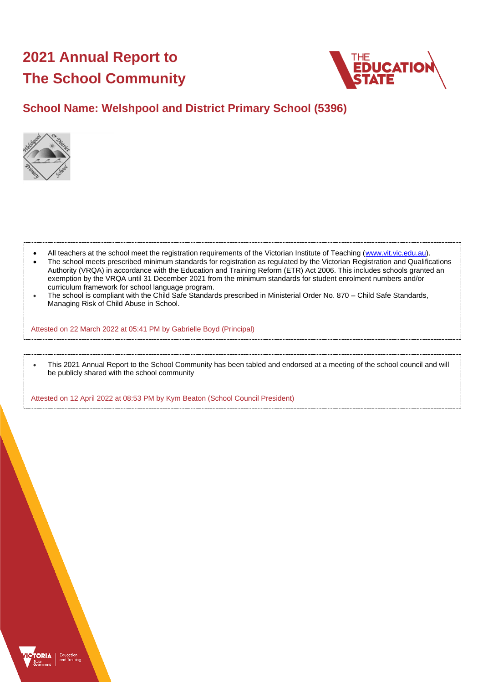# **2021 Annual Report to The School Community**



# **School Name: Welshpool and District Primary School (5396)**



- All teachers at the school meet the registration requirements of the Victorian Institute of Teaching [\(www.vit.vic.edu.au\)](https://www.vit.vic.edu.au/).
- The school meets prescribed minimum standards for registration as regulated by the Victorian Registration and Qualifications Authority (VRQA) in accordance with the Education and Training Reform (ETR) Act 2006. This includes schools granted an exemption by the VRQA until 31 December 2021 from the minimum standards for student enrolment numbers and/or curriculum framework for school language program.
- The school is compliant with the Child Safe Standards prescribed in Ministerial Order No. 870 Child Safe Standards, Managing Risk of Child Abuse in School.

Attested on 22 March 2022 at 05:41 PM by Gabrielle Boyd (Principal)

• This 2021 Annual Report to the School Community has been tabled and endorsed at a meeting of the school council and will be publicly shared with the school community

Attested on 12 April 2022 at 08:53 PM by Kym Beaton (School Council President)

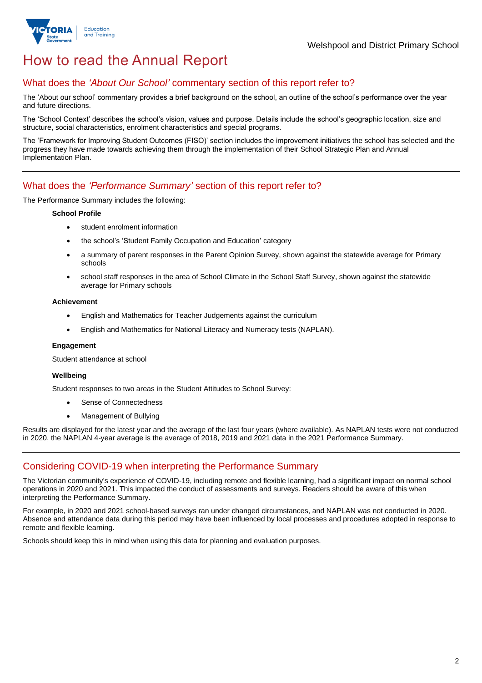

# How to read the Annual Report

## What does the *'About Our School'* commentary section of this report refer to?

The 'About our school' commentary provides a brief background on the school, an outline of the school's performance over the year and future directions.

The 'School Context' describes the school's vision, values and purpose. Details include the school's geographic location, size and structure, social characteristics, enrolment characteristics and special programs.

The 'Framework for Improving Student Outcomes (FISO)' section includes the improvement initiatives the school has selected and the progress they have made towards achieving them through the implementation of their School Strategic Plan and Annual Implementation Plan.

### What does the *'Performance Summary'* section of this report refer to?

The Performance Summary includes the following:

#### **School Profile**

- student enrolment information
- the school's 'Student Family Occupation and Education' category
- a summary of parent responses in the Parent Opinion Survey, shown against the statewide average for Primary schools
- school staff responses in the area of School Climate in the School Staff Survey, shown against the statewide average for Primary schools

#### **Achievement**

- English and Mathematics for Teacher Judgements against the curriculum
- English and Mathematics for National Literacy and Numeracy tests (NAPLAN).

### **Engagement**

Student attendance at school

### **Wellbeing**

Student responses to two areas in the Student Attitudes to School Survey:

- Sense of Connectedness
- Management of Bullying

Results are displayed for the latest year and the average of the last four years (where available). As NAPLAN tests were not conducted in 2020, the NAPLAN 4-year average is the average of 2018, 2019 and 2021 data in the 2021 Performance Summary.

## Considering COVID-19 when interpreting the Performance Summary

The Victorian community's experience of COVID-19, including remote and flexible learning, had a significant impact on normal school operations in 2020 and 2021. This impacted the conduct of assessments and surveys. Readers should be aware of this when interpreting the Performance Summary.

For example, in 2020 and 2021 school-based surveys ran under changed circumstances, and NAPLAN was not conducted in 2020. Absence and attendance data during this period may have been influenced by local processes and procedures adopted in response to remote and flexible learning.

Schools should keep this in mind when using this data for planning and evaluation purposes.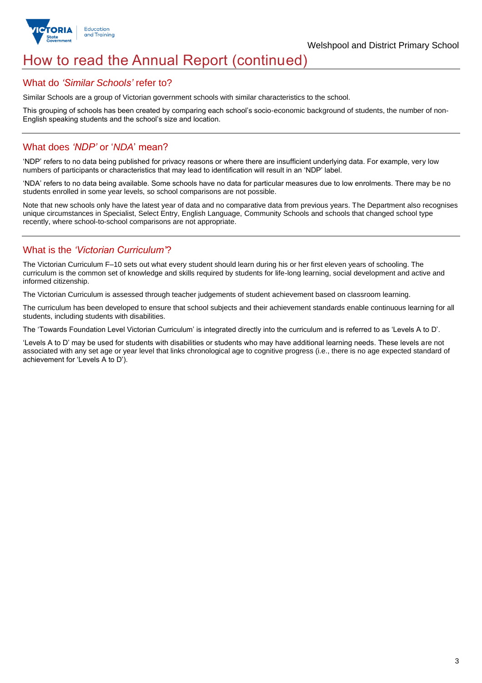

# How to read the Annual Report (continued)

### What do *'Similar Schools'* refer to?

Similar Schools are a group of Victorian government schools with similar characteristics to the school.

This grouping of schools has been created by comparing each school's socio-economic background of students, the number of non-English speaking students and the school's size and location.

## What does *'NDP'* or '*NDA*' mean?

'NDP' refers to no data being published for privacy reasons or where there are insufficient underlying data. For example, very low numbers of participants or characteristics that may lead to identification will result in an 'NDP' label.

'NDA' refers to no data being available. Some schools have no data for particular measures due to low enrolments. There may be no students enrolled in some year levels, so school comparisons are not possible.

Note that new schools only have the latest year of data and no comparative data from previous years. The Department also recognises unique circumstances in Specialist, Select Entry, English Language, Community Schools and schools that changed school type recently, where school-to-school comparisons are not appropriate.

## What is the *'Victorian Curriculum'*?

The Victorian Curriculum F–10 sets out what every student should learn during his or her first eleven years of schooling. The curriculum is the common set of knowledge and skills required by students for life-long learning, social development and active and informed citizenship.

The Victorian Curriculum is assessed through teacher judgements of student achievement based on classroom learning.

The curriculum has been developed to ensure that school subjects and their achievement standards enable continuous learning for all students, including students with disabilities.

The 'Towards Foundation Level Victorian Curriculum' is integrated directly into the curriculum and is referred to as 'Levels A to D'.

'Levels A to D' may be used for students with disabilities or students who may have additional learning needs. These levels are not associated with any set age or year level that links chronological age to cognitive progress (i.e., there is no age expected standard of achievement for 'Levels A to D').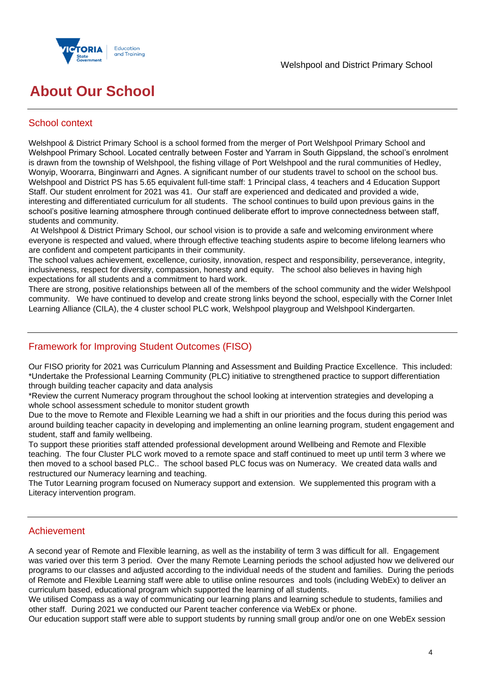

# **About Our School**

# School context

Welshpool & District Primary School is a school formed from the merger of Port Welshpool Primary School and Welshpool Primary School. Located centrally between Foster and Yarram in South Gippsland, the school's enrolment is drawn from the township of Welshpool, the fishing village of Port Welshpool and the rural communities of Hedley, Wonyip, Woorarra, Binginwarri and Agnes. A significant number of our students travel to school on the school bus. Welshpool and District PS has 5.65 equivalent full-time staff: 1 Principal class, 4 teachers and 4 Education Support Staff. Our student enrolment for 2021 was 41. Our staff are experienced and dedicated and provided a wide, interesting and differentiated curriculum for all students. The school continues to build upon previous gains in the school's positive learning atmosphere through continued deliberate effort to improve connectedness between staff, students and community.

At Welshpool & District Primary School, our school vision is to provide a safe and welcoming environment where everyone is respected and valued, where through effective teaching students aspire to become lifelong learners who are confident and competent participants in their community.

The school values achievement, excellence, curiosity, innovation, respect and responsibility, perseverance, integrity, inclusiveness, respect for diversity, compassion, honesty and equity. The school also believes in having high expectations for all students and a commitment to hard work.

There are strong, positive relationships between all of the members of the school community and the wider Welshpool community. We have continued to develop and create strong links beyond the school, especially with the Corner Inlet Learning Alliance (CILA), the 4 cluster school PLC work, Welshpool playgroup and Welshpool Kindergarten.

# Framework for Improving Student Outcomes (FISO)

Our FISO priority for 2021 was Curriculum Planning and Assessment and Building Practice Excellence. This included: \*Undertake the Professional Learning Community (PLC) initiative to strengthened practice to support differentiation through building teacher capacity and data analysis

\*Review the current Numeracy program throughout the school looking at intervention strategies and developing a whole school assessment schedule to monitor student growth

Due to the move to Remote and Flexible Learning we had a shift in our priorities and the focus during this period was around building teacher capacity in developing and implementing an online learning program, student engagement and student, staff and family wellbeing.

To support these priorities staff attended professional development around Wellbeing and Remote and Flexible teaching. The four Cluster PLC work moved to a remote space and staff continued to meet up until term 3 where we then moved to a school based PLC.. The school based PLC focus was on Numeracy. We created data walls and restructured our Numeracy learning and teaching.

The Tutor Learning program focused on Numeracy support and extension. We supplemented this program with a Literacy intervention program.

### Achievement

A second year of Remote and Flexible learning, as well as the instability of term 3 was difficult for all. Engagement was varied over this term 3 period. Over the many Remote Learning periods the school adjusted how we delivered our programs to our classes and adjusted according to the individual needs of the student and families. During the periods of Remote and Flexible Learning staff were able to utilise online resources and tools (including WebEx) to deliver an curriculum based, educational program which supported the learning of all students.

We utilised Compass as a way of communicating our learning plans and learning schedule to students, families and other staff. During 2021 we conducted our Parent teacher conference via WebEx or phone.

Our education support staff were able to support students by running small group and/or one on one WebEx session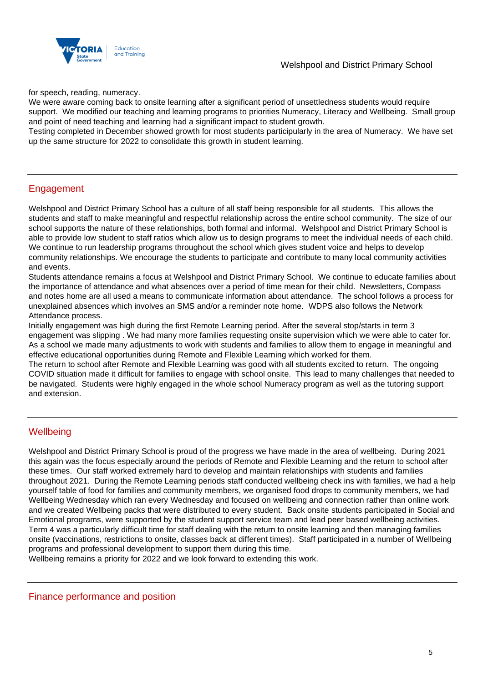

for speech, reading, numeracy.

We were aware coming back to onsite learning after a significant period of unsettledness students would require support. We modified our teaching and learning programs to priorities Numeracy, Literacy and Wellbeing. Small group and point of need teaching and learning had a significant impact to student growth.

Testing completed in December showed growth for most students participularly in the area of Numeracy. We have set up the same structure for 2022 to consolidate this growth in student learning.

## Engagement

Welshpool and District Primary School has a culture of all staff being responsible for all students. This allows the students and staff to make meaningful and respectful relationship across the entire school community. The size of our school supports the nature of these relationships, both formal and informal. Welshpool and District Primary School is able to provide low student to staff ratios which allow us to design programs to meet the individual needs of each child. We continue to run leadership programs throughout the school which gives student voice and helps to develop community relationships. We encourage the students to participate and contribute to many local community activities and events.

Students attendance remains a focus at Welshpool and District Primary School. We continue to educate families about the importance of attendance and what absences over a period of time mean for their child. Newsletters, Compass and notes home are all used a means to communicate information about attendance. The school follows a process for unexplained absences which involves an SMS and/or a reminder note home. WDPS also follows the Network Attendance process.

Initially engagement was high during the first Remote Learning period. After the several stop/starts in term 3 engagement was slipping . We had many more families requesting onsite supervision which we were able to cater for. As a school we made many adjustments to work with students and families to allow them to engage in meaningful and effective educational opportunities during Remote and Flexible Learning which worked for them.

The return to school after Remote and Flexible Learning was good with all students excited to return. The ongoing COVID situation made it difficult for families to engage with school onsite. This lead to many challenges that needed to be navigated. Students were highly engaged in the whole school Numeracy program as well as the tutoring support and extension.

## **Wellbeing**

Welshpool and District Primary School is proud of the progress we have made in the area of wellbeing. During 2021 this again was the focus especially around the periods of Remote and Flexible Learning and the return to school after these times. Our staff worked extremely hard to develop and maintain relationships with students and families throughout 2021. During the Remote Learning periods staff conducted wellbeing check ins with families, we had a help yourself table of food for families and community members, we organised food drops to community members, we had Wellbeing Wednesday which ran every Wednesday and focused on wellbeing and connection rather than online work and we created Wellbeing packs that were distributed to every student. Back onsite students participated in Social and Emotional programs, were supported by the student support service team and lead peer based wellbeing activities. Term 4 was a particularly difficult time for staff dealing with the return to onsite learning and then managing families onsite (vaccinations, restrictions to onsite, classes back at different times). Staff participated in a number of Wellbeing programs and professional development to support them during this time.

Wellbeing remains a priority for 2022 and we look forward to extending this work.

Finance performance and position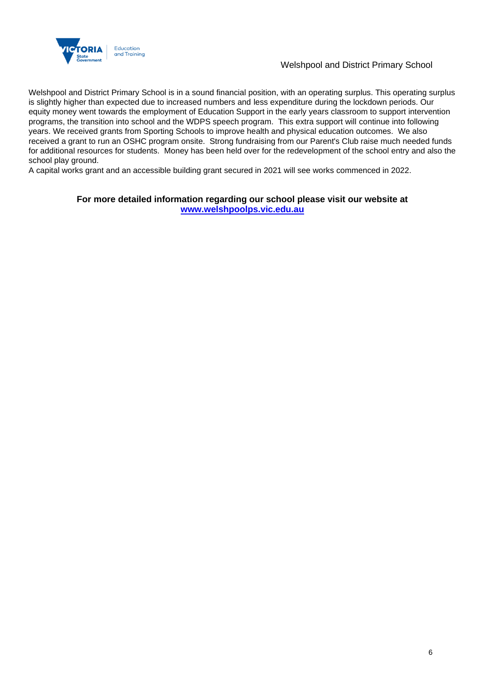

### Welshpool and District Primary School

Welshpool and District Primary School is in a sound financial position, with an operating surplus. This operating surplus is slightly higher than expected due to increased numbers and less expenditure during the lockdown periods. Our equity money went towards the employment of Education Support in the early years classroom to support intervention programs, the transition into school and the WDPS speech program. This extra support will continue into following years. We received grants from Sporting Schools to improve health and physical education outcomes. We also received a grant to run an OSHC program onsite. Strong fundraising from our Parent's Club raise much needed funds for additional resources for students. Money has been held over for the redevelopment of the school entry and also the school play ground.

A capital works grant and an accessible building grant secured in 2021 will see works commenced in 2022.

### **For more detailed information regarding our school please visit our website at [www.welshpoolps.vic.edu.au](file:///C:/Users/08592840/Downloads/www.welshpoolps.vic.edu.au)**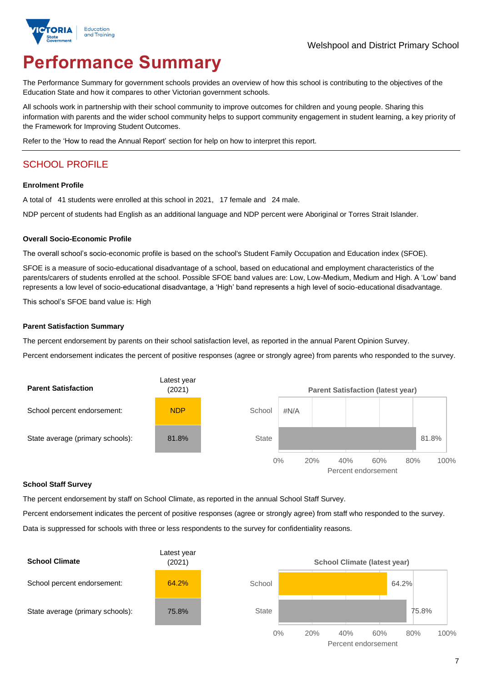

# **Performance Summary**

The Performance Summary for government schools provides an overview of how this school is contributing to the objectives of the Education State and how it compares to other Victorian government schools.

All schools work in partnership with their school community to improve outcomes for children and young people. Sharing this information with parents and the wider school community helps to support community engagement in student learning, a key priority of the Framework for Improving Student Outcomes.

Refer to the 'How to read the Annual Report' section for help on how to interpret this report.

# SCHOOL PROFILE

#### **Enrolment Profile**

A total of 41 students were enrolled at this school in 2021, 17 female and 24 male.

NDP percent of students had English as an additional language and NDP percent were Aboriginal or Torres Strait Islander.

#### **Overall Socio-Economic Profile**

The overall school's socio-economic profile is based on the school's Student Family Occupation and Education index (SFOE).

SFOE is a measure of socio-educational disadvantage of a school, based on educational and employment characteristics of the parents/carers of students enrolled at the school. Possible SFOE band values are: Low, Low-Medium, Medium and High. A 'Low' band represents a low level of socio-educational disadvantage, a 'High' band represents a high level of socio-educational disadvantage.

This school's SFOE band value is: High

#### **Parent Satisfaction Summary**

The percent endorsement by parents on their school satisfaction level, as reported in the annual Parent Opinion Survey.

Percent endorsement indicates the percent of positive responses (agree or strongly agree) from parents who responded to the survey.



#### **School Staff Survey**

The percent endorsement by staff on School Climate, as reported in the annual School Staff Survey.

Percent endorsement indicates the percent of positive responses (agree or strongly agree) from staff who responded to the survey. Data is suppressed for schools with three or less respondents to the survey for confidentiality reasons.

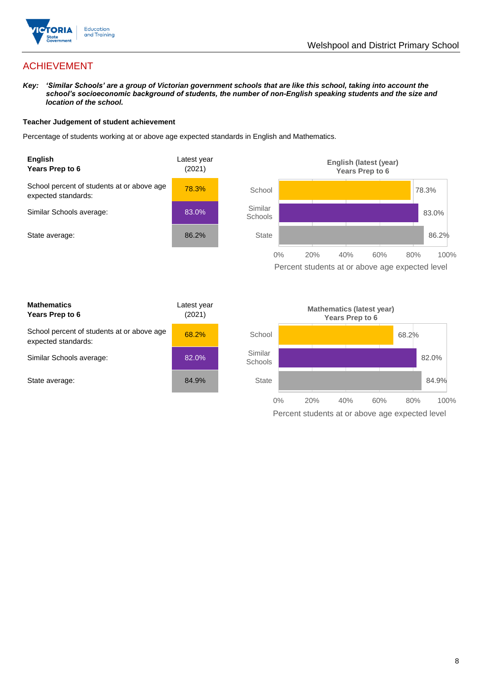

# ACHIEVEMENT

*Key: 'Similar Schools' are a group of Victorian government schools that are like this school, taking into account the school's socioeconomic background of students, the number of non-English speaking students and the size and location of the school.*

### **Teacher Judgement of student achievement**

Percentage of students working at or above age expected standards in English and Mathematics.



Percent students at or above age expected level

| <b>Mathematics</b><br>Years Prep to 6                             | Latest year<br>(2021) |
|-------------------------------------------------------------------|-----------------------|
| School percent of students at or above age<br>expected standards: | 68.2%                 |
| Similar Schools average:                                          | 82.0%                 |
| State average:                                                    | 84.9%                 |

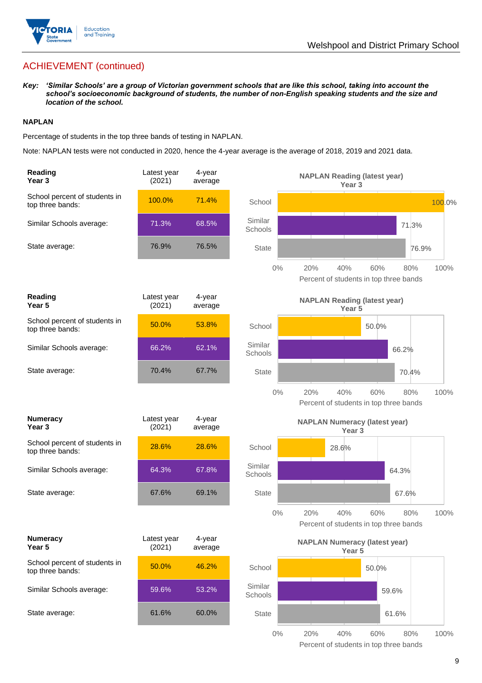

# ACHIEVEMENT (continued)

*Key: 'Similar Schools' are a group of Victorian government schools that are like this school, taking into account the school's socioeconomic background of students, the number of non-English speaking students and the size and location of the school.*

### **NAPLAN**

Percentage of students in the top three bands of testing in NAPLAN.

Note: NAPLAN tests were not conducted in 2020, hence the 4-year average is the average of 2018, 2019 and 2021 data.

| Reading<br>Year <sub>3</sub>                      | Latest year<br>(2021) | 4-year<br>average | <b>NAPLAN Reading (latest year)</b><br>Year <sub>3</sub>                            |  |
|---------------------------------------------------|-----------------------|-------------------|-------------------------------------------------------------------------------------|--|
| School percent of students in<br>top three bands: | 100.0%                | 71.4%             | 100.0%<br>School                                                                    |  |
| Similar Schools average:                          | 71.3%                 | 68.5%             | Similar<br>71.3%<br>Schools                                                         |  |
| State average:                                    | 76.9%                 | 76.5%             | <b>State</b><br>76.9%                                                               |  |
|                                                   |                       |                   | $0\%$<br>60%<br>20%<br>40%<br>80%<br>100%<br>Percent of students in top three bands |  |
| Reading<br>Year <sub>5</sub>                      | Latest year<br>(2021) | 4-year<br>average | <b>NAPLAN Reading (latest year)</b><br>Year 5                                       |  |
| School percent of students in<br>top three bands: | 50.0%                 | 53.8%             | School<br>50.0%                                                                     |  |
| Similar Schools average:                          | 66.2%                 | 62.1%             | Similar<br>66.2%<br>Schools                                                         |  |
| State average:                                    | 70.4%                 | 67.7%             | <b>State</b><br>70.4%                                                               |  |
|                                                   |                       |                   | $0\%$<br>20%<br>40%<br>60%<br>100%<br>80%<br>Percent of students in top three bands |  |
| <b>Numeracy</b><br>Year <sub>3</sub>              | Latest year<br>(2021) | 4-year<br>average | <b>NAPLAN Numeracy (latest year)</b><br>Year <sub>3</sub>                           |  |
| School percent of students in<br>top three bands: | 28.6%                 | 28.6%             | School<br>28.6%                                                                     |  |
| Similar Schools average:                          | 64.3%                 | 67.8%             | Similar<br>64.3%<br>Schools                                                         |  |
| State average:                                    | 67.6%                 | 69.1%             | <b>State</b><br>67.6%                                                               |  |
|                                                   |                       |                   | $0\%$<br>40%<br>60%<br>100%<br>20%<br>80%<br>Percent of students in top three bands |  |
| <b>Numeracy</b><br>Year 5                         | Latest year<br>(2021) | 4-year<br>average | <b>NAPLAN Numeracy (latest year)</b><br>Year 5                                      |  |
| School percent of students in<br>top three bands: | 50.0%                 | 46.2%             | School<br>50.0%                                                                     |  |
| Similar Schools average:                          | 59.6%                 | 53.2%             | Similar<br>59.6%<br>Schools                                                         |  |
| State average:                                    | 61.6%                 | 60.0%             | State<br>61.6%                                                                      |  |
|                                                   |                       |                   |                                                                                     |  |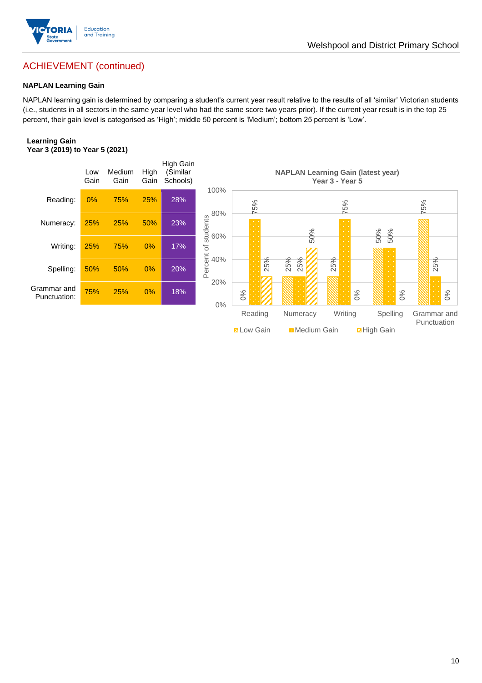

# ACHIEVEMENT (continued)

### **NAPLAN Learning Gain**

NAPLAN learning gain is determined by comparing a student's current year result relative to the results of all 'similar' Victorian students (i.e., students in all sectors in the same year level who had the same score two years prior). If the current year result is in the top 25 percent, their gain level is categorised as 'High'; middle 50 percent is 'Medium'; bottom 25 percent is 'Low'.

### **Learning Gain Year 3 (2019) to Year 5 (2021)**

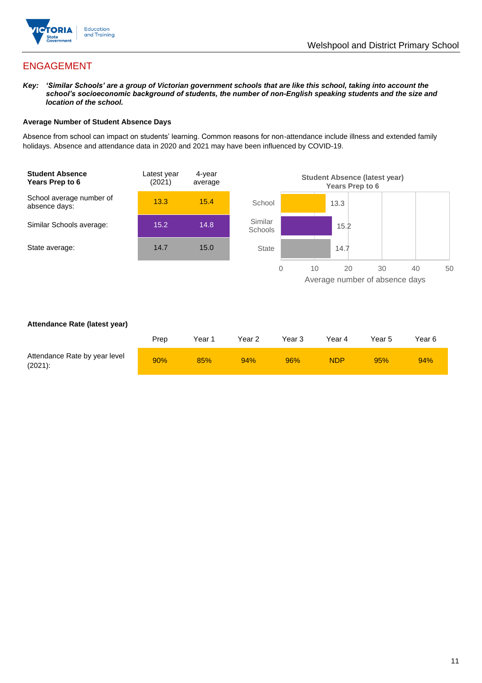

# ENGAGEMENT

*Key: 'Similar Schools' are a group of Victorian government schools that are like this school, taking into account the school's socioeconomic background of students, the number of non-English speaking students and the size and location of the school.*

### **Average Number of Student Absence Days**

Absence from school can impact on students' learning. Common reasons for non-attendance include illness and extended family holidays. Absence and attendance data in 2020 and 2021 may have been influenced by COVID-19.



### **Attendance Rate (latest year)**

|                                             | Prep | Year 1 | Year 2 | Year 3 | Year 4     | Year 5 | Year 6 |
|---------------------------------------------|------|--------|--------|--------|------------|--------|--------|
| Attendance Rate by year level<br>$(2021)$ : | 90%  | 85%    | 94%    | 96%    | <b>NDP</b> | 95%    | 94%    |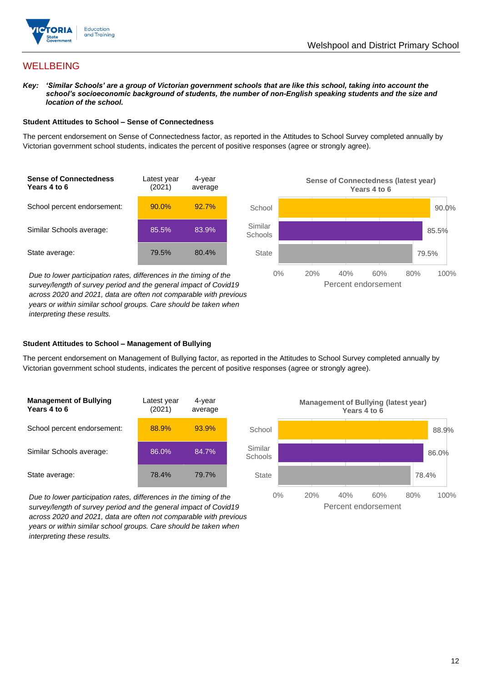

# **WELLBEING**

*Key: 'Similar Schools' are a group of Victorian government schools that are like this school, taking into account the*  school's socioeconomic background of students, the number of non-English speaking students and the size and *location of the school.*

### **Student Attitudes to School – Sense of Connectedness**

The percent endorsement on Sense of Connectedness factor, as reported in the Attitudes to School Survey completed annually by Victorian government school students, indicates the percent of positive responses (agree or strongly agree).



*Due to lower participation rates, differences in the timing of the survey/length of survey period and the general impact of Covid19 across 2020 and 2021, data are often not comparable with previous years or within similar school groups. Care should be taken when interpreting these results.*



### **Student Attitudes to School – Management of Bullying**

The percent endorsement on Management of Bullying factor, as reported in the Attitudes to School Survey completed annually by Victorian government school students, indicates the percent of positive responses (agree or strongly agree).

| <b>Management of Bullying</b><br>Years 4 to 6 | Latest year<br>(2021) | 4-year<br>average |  |
|-----------------------------------------------|-----------------------|-------------------|--|
| School percent endorsement:                   | 88.9%                 | 93.9%             |  |
| Similar Schools average:                      | 86.0%                 | 84.7%             |  |
| State average:                                | 78.4%                 | 79.7%             |  |

*Due to lower participation rates, differences in the timing of the survey/length of survey period and the general impact of Covid19 across 2020 and 2021, data are often not comparable with previous years or within similar school groups. Care should be taken when interpreting these results.*

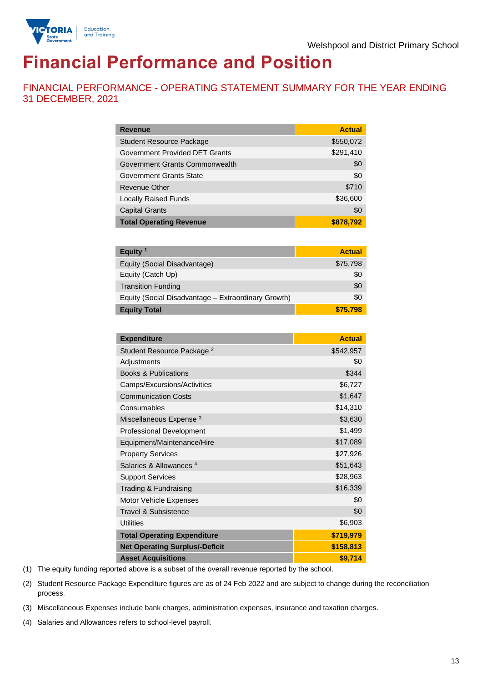

# **Financial Performance and Position**

FINANCIAL PERFORMANCE - OPERATING STATEMENT SUMMARY FOR THE YEAR ENDING 31 DECEMBER, 2021

| <b>Revenue</b>                  | <b>Actual</b> |
|---------------------------------|---------------|
| <b>Student Resource Package</b> | \$550,072     |
| Government Provided DET Grants  | \$291,410     |
| Government Grants Commonwealth  | \$0           |
| Government Grants State         | \$0           |
| Revenue Other                   | \$710         |
| <b>Locally Raised Funds</b>     | \$36,600      |
| <b>Capital Grants</b>           | \$0           |
| <b>Total Operating Revenue</b>  | \$878,792     |

| Equity $1$                                          | <b>Actual</b> |
|-----------------------------------------------------|---------------|
| Equity (Social Disadvantage)                        | \$75,798      |
| Equity (Catch Up)                                   | \$0           |
| <b>Transition Funding</b>                           | \$0           |
| Equity (Social Disadvantage - Extraordinary Growth) | \$0           |
| <b>Equity Total</b>                                 | \$75,798      |

| <b>Expenditure</b>                    | <b>Actual</b> |
|---------------------------------------|---------------|
| Student Resource Package <sup>2</sup> | \$542,957     |
| Adjustments                           | \$0           |
| <b>Books &amp; Publications</b>       | \$344         |
| Camps/Excursions/Activities           | \$6,727       |
| <b>Communication Costs</b>            | \$1,647       |
| Consumables                           | \$14,310      |
| Miscellaneous Expense <sup>3</sup>    | \$3,630       |
| <b>Professional Development</b>       | \$1,499       |
| Equipment/Maintenance/Hire            | \$17,089      |
| <b>Property Services</b>              | \$27,926      |
| Salaries & Allowances <sup>4</sup>    | \$51,643      |
| <b>Support Services</b>               | \$28,963      |
| Trading & Fundraising                 | \$16,339      |
| Motor Vehicle Expenses                | \$0           |
| Travel & Subsistence                  | \$0           |
| <b>Utilities</b>                      | \$6,903       |
| <b>Total Operating Expenditure</b>    | \$719,979     |
| <b>Net Operating Surplus/-Deficit</b> | \$158,813     |
| <b>Asset Acquisitions</b>             | \$9,714       |

(1) The equity funding reported above is a subset of the overall revenue reported by the school.

(2) Student Resource Package Expenditure figures are as of 24 Feb 2022 and are subject to change during the reconciliation process.

(3) Miscellaneous Expenses include bank charges, administration expenses, insurance and taxation charges.

(4) Salaries and Allowances refers to school-level payroll.